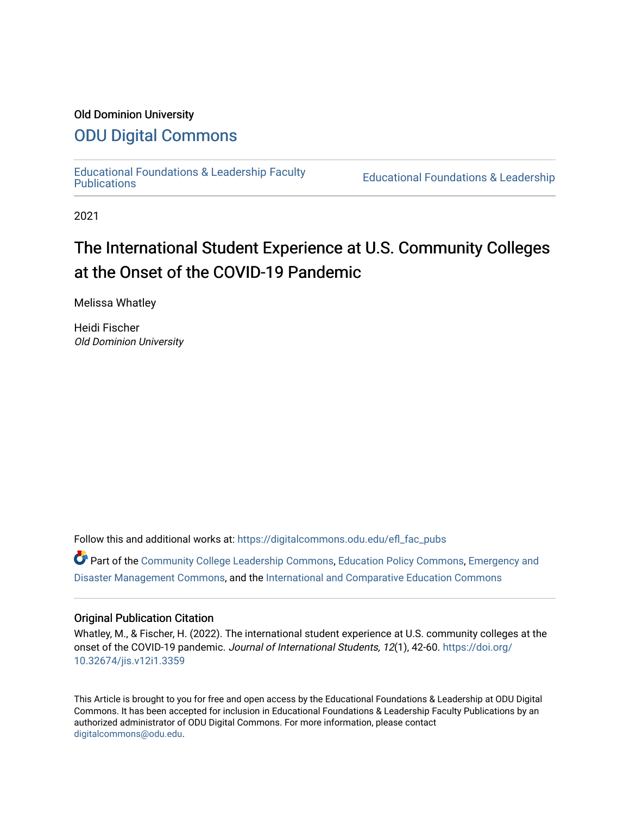## Old Dominion University

## [ODU Digital Commons](https://digitalcommons.odu.edu/)

[Educational Foundations & Leadership Faculty](https://digitalcommons.odu.edu/efl_fac_pubs)

**Educational Foundations & Leadership** 

2021

# The International Student Experience at U.S. Community Colleges at the Onset of the COVID-19 Pandemic

Melissa Whatley

Heidi Fischer Old Dominion University

Follow this and additional works at: [https://digitalcommons.odu.edu/efl\\_fac\\_pubs](https://digitalcommons.odu.edu/efl_fac_pubs?utm_source=digitalcommons.odu.edu%2Fefl_fac_pubs%2F92&utm_medium=PDF&utm_campaign=PDFCoverPages) 

Part of the [Community College Leadership Commons](http://network.bepress.com/hgg/discipline/1039?utm_source=digitalcommons.odu.edu%2Fefl_fac_pubs%2F92&utm_medium=PDF&utm_campaign=PDFCoverPages), [Education Policy Commons,](http://network.bepress.com/hgg/discipline/1026?utm_source=digitalcommons.odu.edu%2Fefl_fac_pubs%2F92&utm_medium=PDF&utm_campaign=PDFCoverPages) [Emergency and](http://network.bepress.com/hgg/discipline/1321?utm_source=digitalcommons.odu.edu%2Fefl_fac_pubs%2F92&utm_medium=PDF&utm_campaign=PDFCoverPages)  [Disaster Management Commons,](http://network.bepress.com/hgg/discipline/1321?utm_source=digitalcommons.odu.edu%2Fefl_fac_pubs%2F92&utm_medium=PDF&utm_campaign=PDFCoverPages) and the [International and Comparative Education Commons](http://network.bepress.com/hgg/discipline/797?utm_source=digitalcommons.odu.edu%2Fefl_fac_pubs%2F92&utm_medium=PDF&utm_campaign=PDFCoverPages) 

### Original Publication Citation

Whatley, M., & Fischer, H. (2022). The international student experience at U.S. community colleges at the onset of the COVID-19 pandemic. Journal of International Students, 12(1), 42-60. [https://doi.org/](https://doi.org/10.32674/jis.v12i1.3359) [10.32674/jis.v12i1.3359](https://doi.org/10.32674/jis.v12i1.3359) 

This Article is brought to you for free and open access by the Educational Foundations & Leadership at ODU Digital Commons. It has been accepted for inclusion in Educational Foundations & Leadership Faculty Publications by an authorized administrator of ODU Digital Commons. For more information, please contact [digitalcommons@odu.edu](mailto:digitalcommons@odu.edu).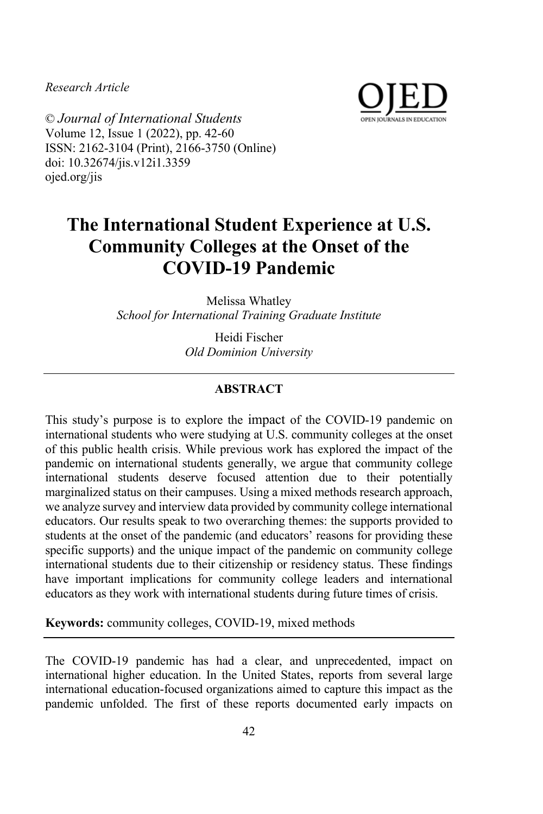*Research Article*



© *Journal of International Students* Volume 12, Issue 1 (2022), pp. 42-60 ISSN: 2162-3104 (Print), 2166-3750 (Online) doi: 10.32674/jis.v12i1.3359 ojed.org/jis

# **The International Student Experience at U.S. Community Colleges at the Onset of the COVID-19 Pandemic**

Melissa Whatley *School for International Training Graduate Institute*

> Heidi Fischer *Old Dominion University*

#### **ABSTRACT**

This study's purpose is to explore the impact of the COVID-19 pandemic on international students who were studying at U.S. community colleges at the onset of this public health crisis. While previous work has explored the impact of the pandemic on international students generally, we argue that community college international students deserve focused attention due to their potentially marginalized status on their campuses. Using a mixed methods research approach, we analyze survey and interview data provided by community college international educators. Our results speak to two overarching themes: the supports provided to students at the onset of the pandemic (and educators' reasons for providing these specific supports) and the unique impact of the pandemic on community college international students due to their citizenship or residency status. These findings have important implications for community college leaders and international educators as they work with international students during future times of crisis.

**Keywords:** community colleges, COVID-19, mixed methods

The COVID-19 pandemic has had a clear, and unprecedented, impact on international higher education. In the United States, reports from several large international education-focused organizations aimed to capture this impact as the pandemic unfolded. The first of these reports documented early impacts on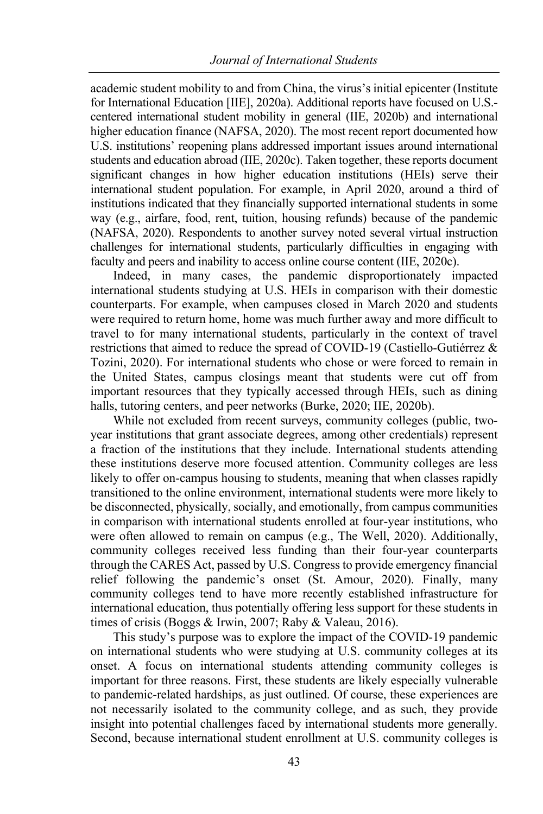academic student mobility to and from China, the virus's initial epicenter (Institute for International Education [IIE], 2020a). Additional reports have focused on U.S. centered international student mobility in general (IIE, 2020b) and international higher education finance (NAFSA, 2020). The most recent report documented how U.S. institutions' reopening plans addressed important issues around international students and education abroad (IIE, 2020c). Taken together, these reports document significant changes in how higher education institutions (HEIs) serve their international student population. For example, in April 2020, around a third of institutions indicated that they financially supported international students in some way (e.g., airfare, food, rent, tuition, housing refunds) because of the pandemic (NAFSA, 2020). Respondents to another survey noted several virtual instruction challenges for international students, particularly difficulties in engaging with faculty and peers and inability to access online course content (IIE, 2020c).

Indeed, in many cases, the pandemic disproportionately impacted international students studying at U.S. HEIs in comparison with their domestic counterparts. For example, when campuses closed in March 2020 and students were required to return home, home was much further away and more difficult to travel to for many international students, particularly in the context of travel restrictions that aimed to reduce the spread of COVID-19 (Castiello-Gutiérrez & Tozini, 2020). For international students who chose or were forced to remain in the United States, campus closings meant that students were cut off from important resources that they typically accessed through HEIs, such as dining halls, tutoring centers, and peer networks (Burke, 2020; IIE, 2020b).

While not excluded from recent surveys, community colleges (public, twoyear institutions that grant associate degrees, among other credentials) represent a fraction of the institutions that they include. International students attending these institutions deserve more focused attention. Community colleges are less likely to offer on-campus housing to students, meaning that when classes rapidly transitioned to the online environment, international students were more likely to be disconnected, physically, socially, and emotionally, from campus communities in comparison with international students enrolled at four-year institutions, who were often allowed to remain on campus (e.g., The Well, 2020). Additionally, community colleges received less funding than their four-year counterparts through the CARES Act, passed by U.S. Congress to provide emergency financial relief following the pandemic's onset (St. Amour, 2020). Finally, many community colleges tend to have more recently established infrastructure for international education, thus potentially offering less support for these students in times of crisis (Boggs & Irwin, 2007; Raby & Valeau, 2016).

This study's purpose was to explore the impact of the COVID-19 pandemic on international students who were studying at U.S. community colleges at its onset. A focus on international students attending community colleges is important for three reasons. First, these students are likely especially vulnerable to pandemic-related hardships, as just outlined. Of course, these experiences are not necessarily isolated to the community college, and as such, they provide insight into potential challenges faced by international students more generally. Second, because international student enrollment at U.S. community colleges is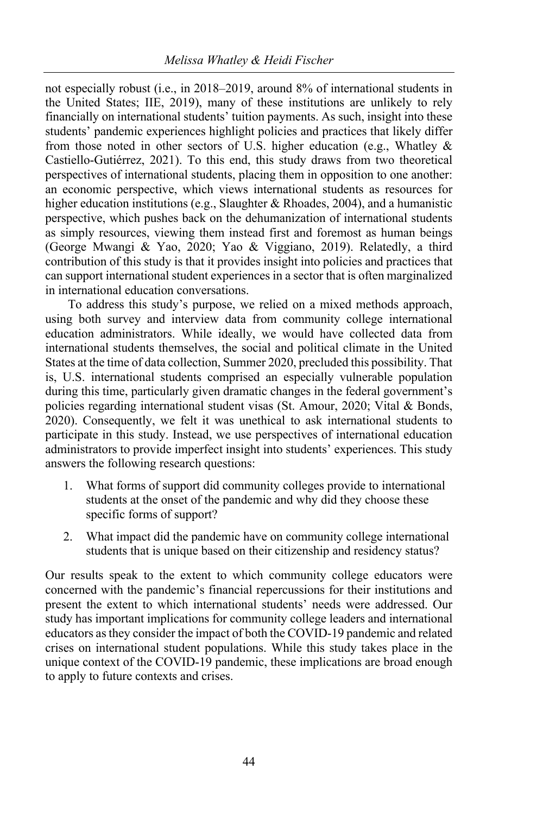not especially robust (i.e., in 2018–2019, around 8% of international students in the United States; IIE, 2019), many of these institutions are unlikely to rely financially on international students' tuition payments. As such, insight into these students' pandemic experiences highlight policies and practices that likely differ from those noted in other sectors of U.S. higher education (e.g., Whatley  $\&$ Castiello-Gutiérrez, 2021). To this end, this study draws from two theoretical perspectives of international students, placing them in opposition to one another: an economic perspective, which views international students as resources for higher education institutions (e.g., Slaughter & Rhoades, 2004), and a humanistic perspective, which pushes back on the dehumanization of international students as simply resources, viewing them instead first and foremost as human beings (George Mwangi & Yao, 2020; Yao & Viggiano, 2019). Relatedly, a third contribution of this study is that it provides insight into policies and practices that can support international student experiences in a sector that is often marginalized in international education conversations.

To address this study's purpose, we relied on a mixed methods approach, using both survey and interview data from community college international education administrators. While ideally, we would have collected data from international students themselves, the social and political climate in the United States at the time of data collection, Summer 2020, precluded this possibility. That is, U.S. international students comprised an especially vulnerable population during this time, particularly given dramatic changes in the federal government's policies regarding international student visas (St. Amour, 2020; Vital & Bonds, 2020). Consequently, we felt it was unethical to ask international students to participate in this study. Instead, we use perspectives of international education administrators to provide imperfect insight into students' experiences. This study answers the following research questions:

- 1. What forms of support did community colleges provide to international students at the onset of the pandemic and why did they choose these specific forms of support?
- 2. What impact did the pandemic have on community college international students that is unique based on their citizenship and residency status?

Our results speak to the extent to which community college educators were concerned with the pandemic's financial repercussions for their institutions and present the extent to which international students' needs were addressed. Our study has important implications for community college leaders and international educators as they consider the impact of both the COVID-19 pandemic and related crises on international student populations. While this study takes place in the unique context of the COVID-19 pandemic, these implications are broad enough to apply to future contexts and crises.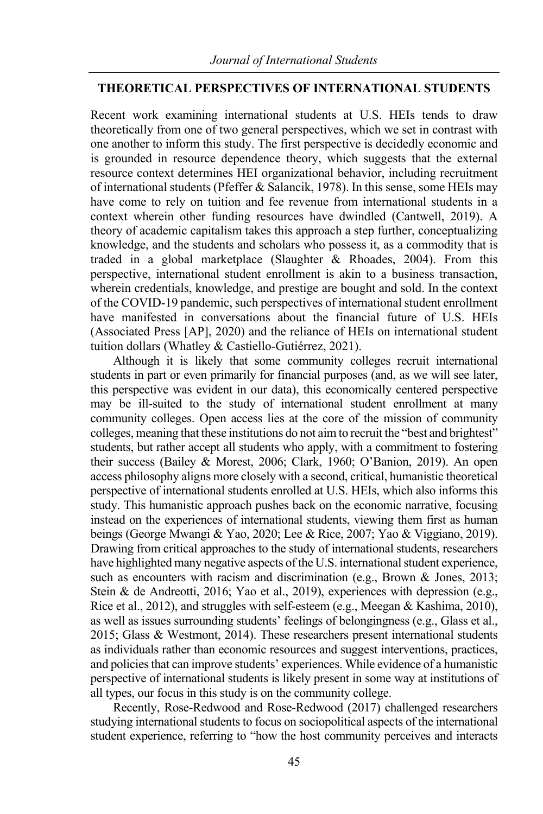#### **THEORETICAL PERSPECTIVES OF INTERNATIONAL STUDENTS**

Recent work examining international students at U.S. HEIs tends to draw theoretically from one of two general perspectives, which we set in contrast with one another to inform this study. The first perspective is decidedly economic and is grounded in resource dependence theory, which suggests that the external resource context determines HEI organizational behavior, including recruitment of international students (Pfeffer & Salancik, 1978). In this sense, some HEIs may have come to rely on tuition and fee revenue from international students in a context wherein other funding resources have dwindled (Cantwell, 2019). A theory of academic capitalism takes this approach a step further, conceptualizing knowledge, and the students and scholars who possess it, as a commodity that is traded in a global marketplace (Slaughter & Rhoades, 2004). From this perspective, international student enrollment is akin to a business transaction, wherein credentials, knowledge, and prestige are bought and sold. In the context of the COVID-19 pandemic, such perspectives of international student enrollment have manifested in conversations about the financial future of U.S. HEIs (Associated Press [AP], 2020) and the reliance of HEIs on international student tuition dollars (Whatley & Castiello-Gutiérrez, 2021).

Although it is likely that some community colleges recruit international students in part or even primarily for financial purposes (and, as we will see later, this perspective was evident in our data), this economically centered perspective may be ill-suited to the study of international student enrollment at many community colleges. Open access lies at the core of the mission of community colleges, meaning that these institutions do not aim to recruit the "best and brightest" students, but rather accept all students who apply, with a commitment to fostering their success (Bailey & Morest, 2006; Clark, 1960; O'Banion, 2019). An open access philosophy aligns more closely with a second, critical, humanistic theoretical perspective of international students enrolled at U.S. HEIs, which also informs this study. This humanistic approach pushes back on the economic narrative, focusing instead on the experiences of international students, viewing them first as human beings (George Mwangi & Yao, 2020; Lee & Rice, 2007; Yao & Viggiano, 2019). Drawing from critical approaches to the study of international students, researchers have highlighted many negative aspects of the U.S. international student experience, such as encounters with racism and discrimination (e.g., Brown & Jones, 2013; Stein & de Andreotti, 2016; Yao et al., 2019), experiences with depression (e.g., Rice et al., 2012), and struggles with self-esteem (e.g., Meegan & Kashima, 2010), as well as issues surrounding students' feelings of belongingness (e.g., Glass et al., 2015; Glass & Westmont, 2014). These researchers present international students as individuals rather than economic resources and suggest interventions, practices, and policies that can improve students' experiences. While evidence of a humanistic perspective of international students is likely present in some way at institutions of all types, our focus in this study is on the community college.

Recently, Rose-Redwood and Rose-Redwood (2017) challenged researchers studying international students to focus on sociopolitical aspects of the international student experience, referring to "how the host community perceives and interacts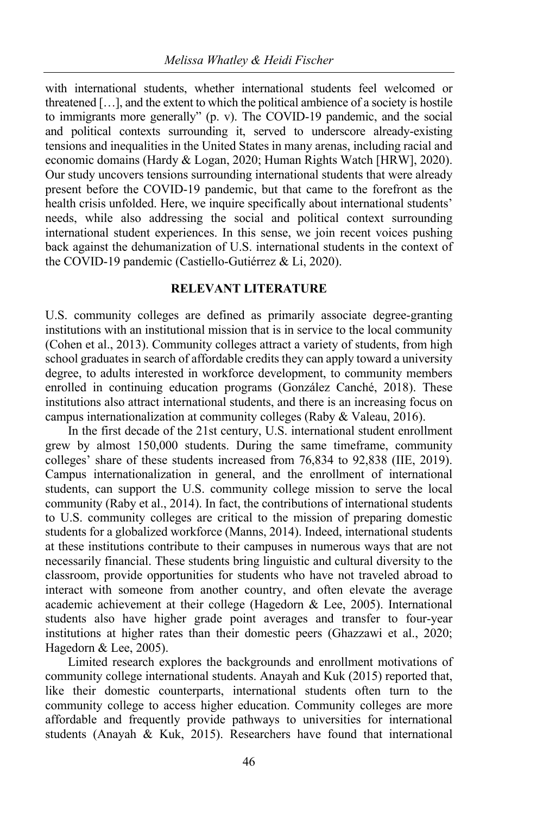with international students, whether international students feel welcomed or threatened […], and the extent to which the political ambience of a society is hostile to immigrants more generally" (p. v). The COVID-19 pandemic, and the social and political contexts surrounding it, served to underscore already-existing tensions and inequalities in the United States in many arenas, including racial and economic domains (Hardy & Logan, 2020; Human Rights Watch [HRW], 2020). Our study uncovers tensions surrounding international students that were already present before the COVID-19 pandemic, but that came to the forefront as the health crisis unfolded. Here, we inquire specifically about international students' needs, while also addressing the social and political context surrounding international student experiences. In this sense, we join recent voices pushing back against the dehumanization of U.S. international students in the context of the COVID-19 pandemic (Castiello-Gutiérrez & Li, 2020).

#### **RELEVANT LITERATURE**

U.S. community colleges are defined as primarily associate degree-granting institutions with an institutional mission that is in service to the local community (Cohen et al., 2013). Community colleges attract a variety of students, from high school graduates in search of affordable credits they can apply toward a university degree, to adults interested in workforce development, to community members enrolled in continuing education programs (González Canché, 2018). These institutions also attract international students, and there is an increasing focus on campus internationalization at community colleges (Raby & Valeau, 2016).

In the first decade of the 21st century, U.S. international student enrollment grew by almost 150,000 students. During the same timeframe, community colleges' share of these students increased from 76,834 to 92,838 (IIE, 2019). Campus internationalization in general, and the enrollment of international students, can support the U.S. community college mission to serve the local community (Raby et al., 2014). In fact, the contributions of international students to U.S. community colleges are critical to the mission of preparing domestic students for a globalized workforce (Manns, 2014). Indeed, international students at these institutions contribute to their campuses in numerous ways that are not necessarily financial. These students bring linguistic and cultural diversity to the classroom, provide opportunities for students who have not traveled abroad to interact with someone from another country, and often elevate the average academic achievement at their college (Hagedorn & Lee, 2005). International students also have higher grade point averages and transfer to four-year institutions at higher rates than their domestic peers (Ghazzawi et al., 2020; Hagedorn & Lee, 2005).

Limited research explores the backgrounds and enrollment motivations of community college international students. Anayah and Kuk (2015) reported that, like their domestic counterparts, international students often turn to the community college to access higher education. Community colleges are more affordable and frequently provide pathways to universities for international students (Anayah & Kuk, 2015). Researchers have found that international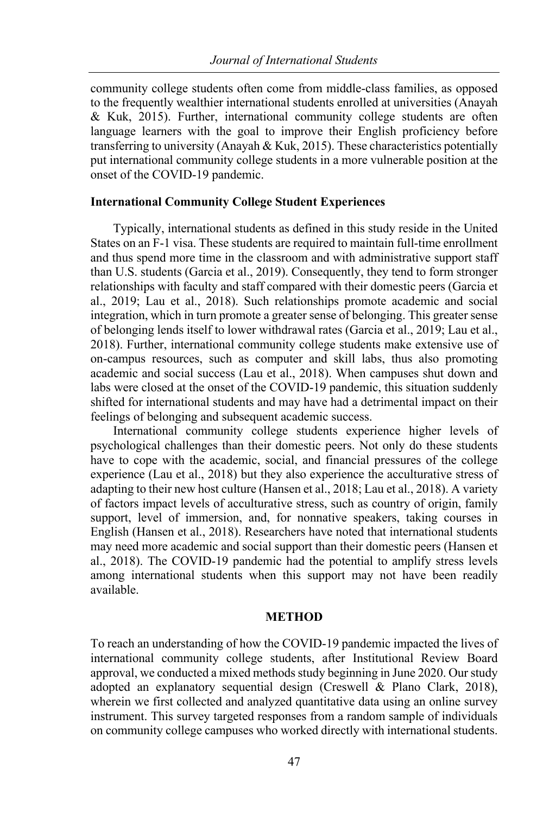community college students often come from middle-class families, as opposed to the frequently wealthier international students enrolled at universities (Anayah & Kuk, 2015). Further, international community college students are often language learners with the goal to improve their English proficiency before transferring to university (Anayah & Kuk, 2015). These characteristics potentially put international community college students in a more vulnerable position at the onset of the COVID-19 pandemic.

#### **International Community College Student Experiences**

Typically, international students as defined in this study reside in the United States on an F-1 visa. These students are required to maintain full-time enrollment and thus spend more time in the classroom and with administrative support staff than U.S. students (Garcia et al., 2019). Consequently, they tend to form stronger relationships with faculty and staff compared with their domestic peers (Garcia et al., 2019; Lau et al., 2018). Such relationships promote academic and social integration, which in turn promote a greater sense of belonging. This greater sense of belonging lends itself to lower withdrawal rates (Garcia et al., 2019; Lau et al., 2018). Further, international community college students make extensive use of on-campus resources, such as computer and skill labs, thus also promoting academic and social success (Lau et al., 2018). When campuses shut down and labs were closed at the onset of the COVID-19 pandemic, this situation suddenly shifted for international students and may have had a detrimental impact on their feelings of belonging and subsequent academic success.

International community college students experience higher levels of psychological challenges than their domestic peers. Not only do these students have to cope with the academic, social, and financial pressures of the college experience (Lau et al., 2018) but they also experience the acculturative stress of adapting to their new host culture (Hansen et al., 2018; Lau et al., 2018). A variety of factors impact levels of acculturative stress, such as country of origin, family support, level of immersion, and, for nonnative speakers, taking courses in English (Hansen et al., 2018). Researchers have noted that international students may need more academic and social support than their domestic peers (Hansen et al., 2018). The COVID-19 pandemic had the potential to amplify stress levels among international students when this support may not have been readily available.

#### **METHOD**

To reach an understanding of how the COVID-19 pandemic impacted the lives of international community college students, after Institutional Review Board approval, we conducted a mixed methods study beginning in June 2020. Our study adopted an explanatory sequential design (Creswell & Plano Clark, 2018), wherein we first collected and analyzed quantitative data using an online survey instrument. This survey targeted responses from a random sample of individuals on community college campuses who worked directly with international students.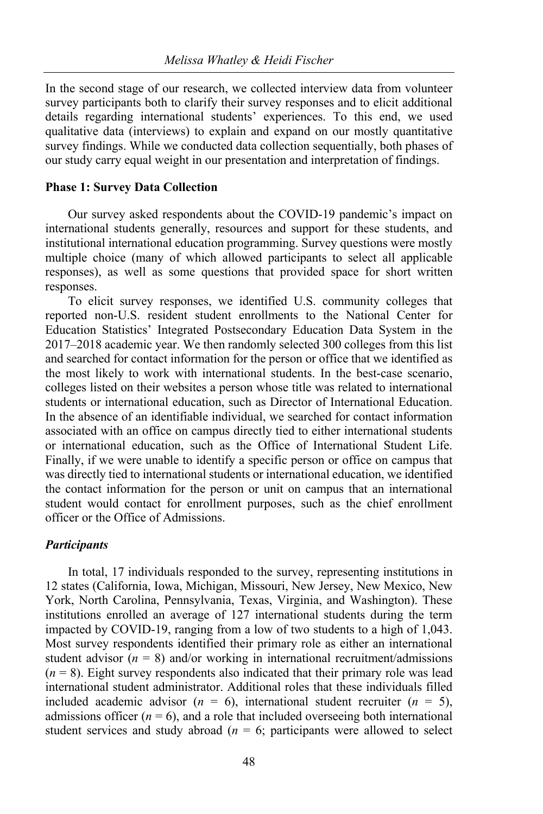In the second stage of our research, we collected interview data from volunteer survey participants both to clarify their survey responses and to elicit additional details regarding international students' experiences. To this end, we used qualitative data (interviews) to explain and expand on our mostly quantitative survey findings. While we conducted data collection sequentially, both phases of our study carry equal weight in our presentation and interpretation of findings.

#### **Phase 1: Survey Data Collection**

Our survey asked respondents about the COVID-19 pandemic's impact on international students generally, resources and support for these students, and institutional international education programming. Survey questions were mostly multiple choice (many of which allowed participants to select all applicable responses), as well as some questions that provided space for short written responses.

To elicit survey responses, we identified U.S. community colleges that reported non-U.S. resident student enrollments to the National Center for Education Statistics' Integrated Postsecondary Education Data System in the 2017–2018 academic year. We then randomly selected 300 colleges from this list and searched for contact information for the person or office that we identified as the most likely to work with international students. In the best-case scenario, colleges listed on their websites a person whose title was related to international students or international education, such as Director of International Education. In the absence of an identifiable individual, we searched for contact information associated with an office on campus directly tied to either international students or international education, such as the Office of International Student Life. Finally, if we were unable to identify a specific person or office on campus that was directly tied to international students or international education, we identified the contact information for the person or unit on campus that an international student would contact for enrollment purposes, such as the chief enrollment officer or the Office of Admissions.

#### *Participants*

In total, 17 individuals responded to the survey, representing institutions in 12 states (California, Iowa, Michigan, Missouri, New Jersey, New Mexico, New York, North Carolina, Pennsylvania, Texas, Virginia, and Washington). These institutions enrolled an average of 127 international students during the term impacted by COVID-19, ranging from a low of two students to a high of 1,043. Most survey respondents identified their primary role as either an international student advisor  $(n = 8)$  and/or working in international recruitment/admissions  $(n = 8)$ . Eight survey respondents also indicated that their primary role was lead international student administrator. Additional roles that these individuals filled included academic advisor  $(n = 6)$ , international student recruiter  $(n = 5)$ , admissions officer  $(n = 6)$ , and a role that included overseeing both international student services and study abroad ( $n = 6$ ; participants were allowed to select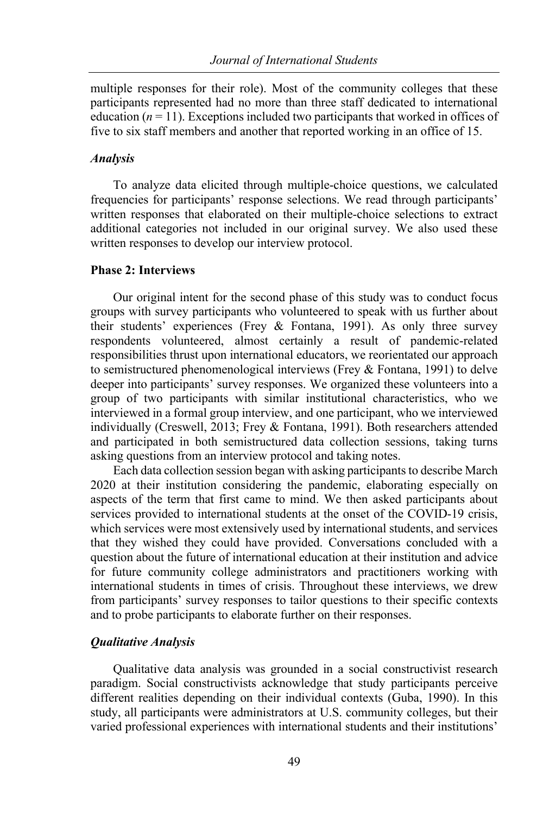multiple responses for their role). Most of the community colleges that these participants represented had no more than three staff dedicated to international education  $(n = 11)$ . Exceptions included two participants that worked in offices of five to six staff members and another that reported working in an office of 15.

#### *Analysis*

To analyze data elicited through multiple-choice questions, we calculated frequencies for participants' response selections. We read through participants' written responses that elaborated on their multiple-choice selections to extract additional categories not included in our original survey. We also used these written responses to develop our interview protocol.

#### **Phase 2: Interviews**

Our original intent for the second phase of this study was to conduct focus groups with survey participants who volunteered to speak with us further about their students' experiences (Frey & Fontana, 1991). As only three survey respondents volunteered, almost certainly a result of pandemic-related responsibilities thrust upon international educators, we reorientated our approach to semistructured phenomenological interviews (Frey & Fontana, 1991) to delve deeper into participants' survey responses. We organized these volunteers into a group of two participants with similar institutional characteristics, who we interviewed in a formal group interview, and one participant, who we interviewed individually (Creswell, 2013; Frey & Fontana, 1991). Both researchers attended and participated in both semistructured data collection sessions, taking turns asking questions from an interview protocol and taking notes.

Each data collection session began with asking participants to describe March 2020 at their institution considering the pandemic, elaborating especially on aspects of the term that first came to mind. We then asked participants about services provided to international students at the onset of the COVID-19 crisis, which services were most extensively used by international students, and services that they wished they could have provided. Conversations concluded with a question about the future of international education at their institution and advice for future community college administrators and practitioners working with international students in times of crisis. Throughout these interviews, we drew from participants' survey responses to tailor questions to their specific contexts and to probe participants to elaborate further on their responses.

#### *Qualitative Analysis*

Qualitative data analysis was grounded in a social constructivist research paradigm. Social constructivists acknowledge that study participants perceive different realities depending on their individual contexts (Guba, 1990). In this study, all participants were administrators at U.S. community colleges, but their varied professional experiences with international students and their institutions'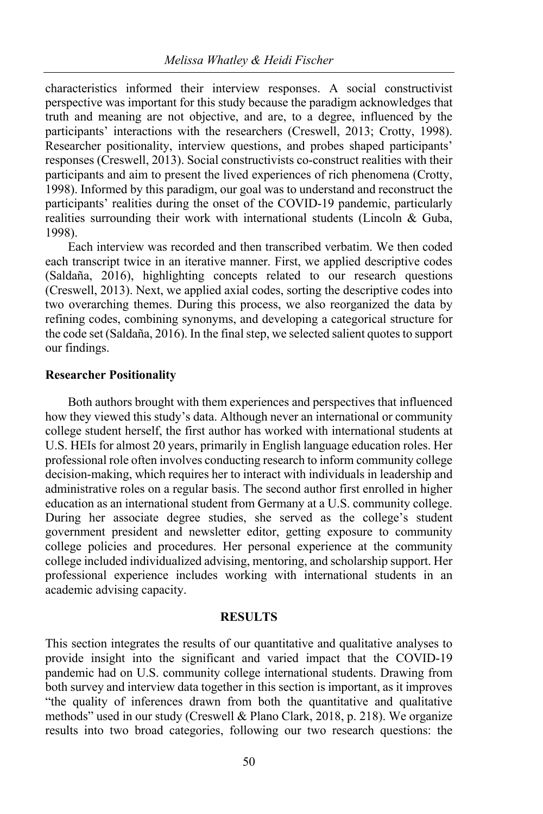characteristics informed their interview responses. A social constructivist perspective was important for this study because the paradigm acknowledges that truth and meaning are not objective, and are, to a degree, influenced by the participants' interactions with the researchers (Creswell, 2013; Crotty, 1998). Researcher positionality, interview questions, and probes shaped participants' responses (Creswell, 2013). Social constructivists co-construct realities with their participants and aim to present the lived experiences of rich phenomena (Crotty, 1998). Informed by this paradigm, our goal was to understand and reconstruct the participants' realities during the onset of the COVID-19 pandemic, particularly realities surrounding their work with international students (Lincoln & Guba, 1998).

Each interview was recorded and then transcribed verbatim. We then coded each transcript twice in an iterative manner. First, we applied descriptive codes (Saldaña, 2016), highlighting concepts related to our research questions (Creswell, 2013). Next, we applied axial codes, sorting the descriptive codes into two overarching themes. During this process, we also reorganized the data by refining codes, combining synonyms, and developing a categorical structure for the code set (Saldaña, 2016). In the final step, we selected salient quotes to support our findings.

#### **Researcher Positionality**

Both authors brought with them experiences and perspectives that influenced how they viewed this study's data. Although never an international or community college student herself, the first author has worked with international students at U.S. HEIs for almost 20 years, primarily in English language education roles. Her professional role often involves conducting research to inform community college decision-making, which requires her to interact with individuals in leadership and administrative roles on a regular basis. The second author first enrolled in higher education as an international student from Germany at a U.S. community college. During her associate degree studies, she served as the college's student government president and newsletter editor, getting exposure to community college policies and procedures. Her personal experience at the community college included individualized advising, mentoring, and scholarship support. Her professional experience includes working with international students in an academic advising capacity.

#### **RESULTS**

This section integrates the results of our quantitative and qualitative analyses to provide insight into the significant and varied impact that the COVID-19 pandemic had on U.S. community college international students. Drawing from both survey and interview data together in this section is important, as it improves "the quality of inferences drawn from both the quantitative and qualitative methods" used in our study (Creswell & Plano Clark, 2018, p. 218). We organize results into two broad categories, following our two research questions: the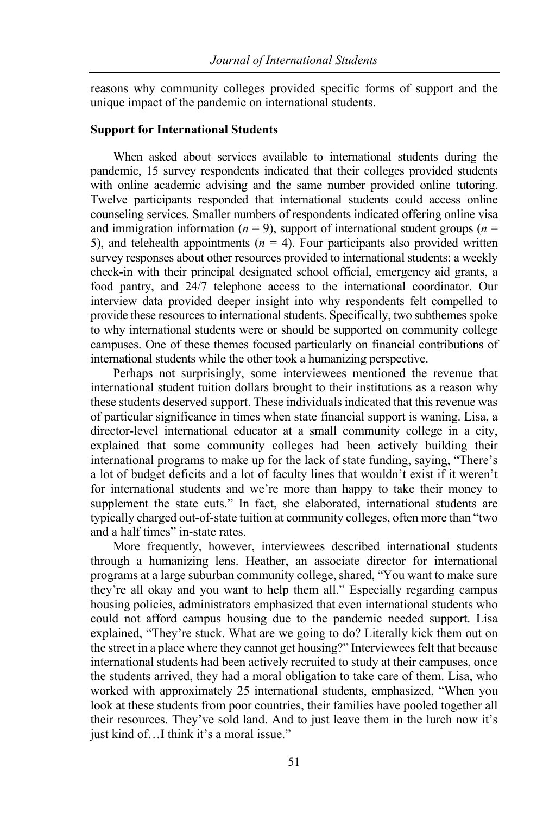reasons why community colleges provided specific forms of support and the unique impact of the pandemic on international students.

#### **Support for International Students**

When asked about services available to international students during the pandemic, 15 survey respondents indicated that their colleges provided students with online academic advising and the same number provided online tutoring. Twelve participants responded that international students could access online counseling services. Smaller numbers of respondents indicated offering online visa and immigration information ( $n = 9$ ), support of international student groups ( $n =$ 5), and telehealth appointments  $(n = 4)$ . Four participants also provided written survey responses about other resources provided to international students: a weekly check-in with their principal designated school official, emergency aid grants, a food pantry, and 24/7 telephone access to the international coordinator. Our interview data provided deeper insight into why respondents felt compelled to provide these resources to international students. Specifically, two subthemes spoke to why international students were or should be supported on community college campuses. One of these themes focused particularly on financial contributions of international students while the other took a humanizing perspective.

Perhaps not surprisingly, some interviewees mentioned the revenue that international student tuition dollars brought to their institutions as a reason why these students deserved support. These individuals indicated that this revenue was of particular significance in times when state financial support is waning. Lisa, a director-level international educator at a small community college in a city, explained that some community colleges had been actively building their international programs to make up for the lack of state funding, saying, "There's a lot of budget deficits and a lot of faculty lines that wouldn't exist if it weren't for international students and we're more than happy to take their money to supplement the state cuts." In fact, she elaborated, international students are typically charged out-of-state tuition at community colleges, often more than "two and a half times" in-state rates.

More frequently, however, interviewees described international students through a humanizing lens. Heather, an associate director for international programs at a large suburban community college, shared, "You want to make sure they're all okay and you want to help them all." Especially regarding campus housing policies, administrators emphasized that even international students who could not afford campus housing due to the pandemic needed support. Lisa explained, "They're stuck. What are we going to do? Literally kick them out on the street in a place where they cannot get housing?" Interviewees felt that because international students had been actively recruited to study at their campuses, once the students arrived, they had a moral obligation to take care of them. Lisa, who worked with approximately 25 international students, emphasized, "When you look at these students from poor countries, their families have pooled together all their resources. They've sold land. And to just leave them in the lurch now it's just kind of…I think it's a moral issue."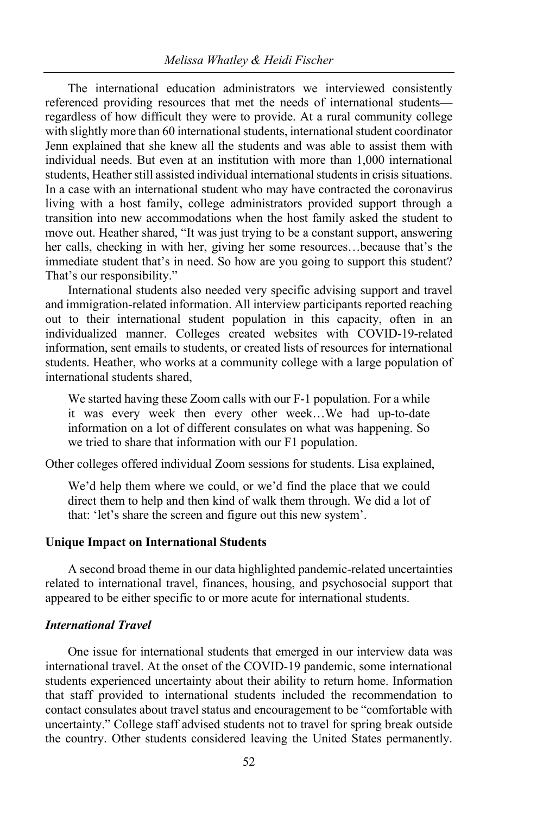The international education administrators we interviewed consistently referenced providing resources that met the needs of international students regardless of how difficult they were to provide. At a rural community college with slightly more than 60 international students, international student coordinator Jenn explained that she knew all the students and was able to assist them with individual needs. But even at an institution with more than 1,000 international students, Heather still assisted individual international students in crisis situations. In a case with an international student who may have contracted the coronavirus living with a host family, college administrators provided support through a transition into new accommodations when the host family asked the student to move out. Heather shared, "It was just trying to be a constant support, answering her calls, checking in with her, giving her some resources…because that's the immediate student that's in need. So how are you going to support this student? That's our responsibility."

International students also needed very specific advising support and travel and immigration-related information. All interview participants reported reaching out to their international student population in this capacity, often in an individualized manner. Colleges created websites with COVID-19-related information, sent emails to students, or created lists of resources for international students. Heather, who works at a community college with a large population of international students shared,

We started having these Zoom calls with our F-1 population. For a while it was every week then every other week…We had up-to-date information on a lot of different consulates on what was happening. So we tried to share that information with our F1 population.

Other colleges offered individual Zoom sessions for students. Lisa explained,

We'd help them where we could, or we'd find the place that we could direct them to help and then kind of walk them through. We did a lot of that: 'let's share the screen and figure out this new system'.

#### **Unique Impact on International Students**

A second broad theme in our data highlighted pandemic-related uncertainties related to international travel, finances, housing, and psychosocial support that appeared to be either specific to or more acute for international students.

#### *International Travel*

One issue for international students that emerged in our interview data was international travel. At the onset of the COVID-19 pandemic, some international students experienced uncertainty about their ability to return home. Information that staff provided to international students included the recommendation to contact consulates about travel status and encouragement to be "comfortable with uncertainty." College staff advised students not to travel for spring break outside the country. Other students considered leaving the United States permanently.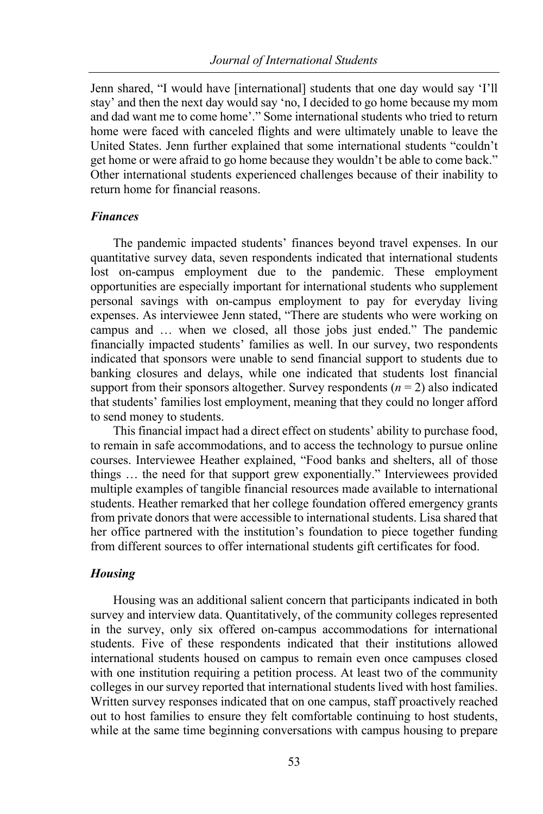Jenn shared, "I would have [international] students that one day would say 'I'll stay' and then the next day would say 'no, I decided to go home because my mom and dad want me to come home'." Some international students who tried to return home were faced with canceled flights and were ultimately unable to leave the United States. Jenn further explained that some international students "couldn't get home or were afraid to go home because they wouldn't be able to come back." Other international students experienced challenges because of their inability to return home for financial reasons.

#### *Finances*

The pandemic impacted students' finances beyond travel expenses. In our quantitative survey data, seven respondents indicated that international students lost on-campus employment due to the pandemic. These employment opportunities are especially important for international students who supplement personal savings with on-campus employment to pay for everyday living expenses. As interviewee Jenn stated, "There are students who were working on campus and … when we closed, all those jobs just ended." The pandemic financially impacted students' families as well. In our survey, two respondents indicated that sponsors were unable to send financial support to students due to banking closures and delays, while one indicated that students lost financial support from their sponsors altogether. Survey respondents  $(n = 2)$  also indicated that students' families lost employment, meaning that they could no longer afford to send money to students.

This financial impact had a direct effect on students' ability to purchase food, to remain in safe accommodations, and to access the technology to pursue online courses. Interviewee Heather explained, "Food banks and shelters, all of those things … the need for that support grew exponentially." Interviewees provided multiple examples of tangible financial resources made available to international students. Heather remarked that her college foundation offered emergency grants from private donors that were accessible to international students. Lisa shared that her office partnered with the institution's foundation to piece together funding from different sources to offer international students gift certificates for food.

#### *Housing*

Housing was an additional salient concern that participants indicated in both survey and interview data. Quantitatively, of the community colleges represented in the survey, only six offered on-campus accommodations for international students. Five of these respondents indicated that their institutions allowed international students housed on campus to remain even once campuses closed with one institution requiring a petition process. At least two of the community colleges in our survey reported that international students lived with host families. Written survey responses indicated that on one campus, staff proactively reached out to host families to ensure they felt comfortable continuing to host students, while at the same time beginning conversations with campus housing to prepare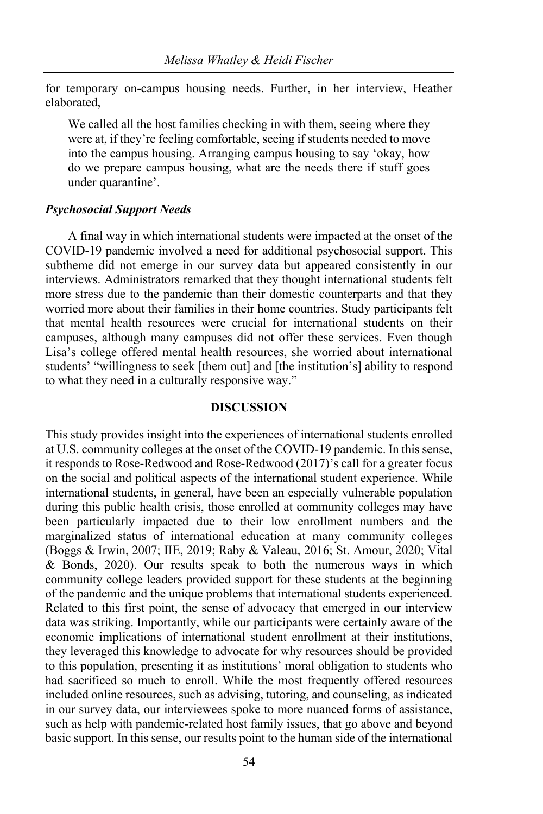for temporary on-campus housing needs. Further, in her interview, Heather elaborated,

We called all the host families checking in with them, seeing where they were at, if they're feeling comfortable, seeing if students needed to move into the campus housing. Arranging campus housing to say 'okay, how do we prepare campus housing, what are the needs there if stuff goes under quarantine'.

#### *Psychosocial Support Needs*

A final way in which international students were impacted at the onset of the COVID-19 pandemic involved a need for additional psychosocial support. This subtheme did not emerge in our survey data but appeared consistently in our interviews. Administrators remarked that they thought international students felt more stress due to the pandemic than their domestic counterparts and that they worried more about their families in their home countries. Study participants felt that mental health resources were crucial for international students on their campuses, although many campuses did not offer these services. Even though Lisa's college offered mental health resources, she worried about international students' "willingness to seek [them out] and [the institution's] ability to respond to what they need in a culturally responsive way."

#### **DISCUSSION**

This study provides insight into the experiences of international students enrolled at U.S. community colleges at the onset of the COVID-19 pandemic. In this sense, it responds to Rose-Redwood and Rose-Redwood (2017)'s call for a greater focus on the social and political aspects of the international student experience. While international students, in general, have been an especially vulnerable population during this public health crisis, those enrolled at community colleges may have been particularly impacted due to their low enrollment numbers and the marginalized status of international education at many community colleges (Boggs & Irwin, 2007; IIE, 2019; Raby & Valeau, 2016; St. Amour, 2020; Vital & Bonds, 2020). Our results speak to both the numerous ways in which community college leaders provided support for these students at the beginning of the pandemic and the unique problems that international students experienced. Related to this first point, the sense of advocacy that emerged in our interview data was striking. Importantly, while our participants were certainly aware of the economic implications of international student enrollment at their institutions, they leveraged this knowledge to advocate for why resources should be provided to this population, presenting it as institutions' moral obligation to students who had sacrificed so much to enroll. While the most frequently offered resources included online resources, such as advising, tutoring, and counseling, as indicated in our survey data, our interviewees spoke to more nuanced forms of assistance, such as help with pandemic-related host family issues, that go above and beyond basic support. In this sense, our results point to the human side of the international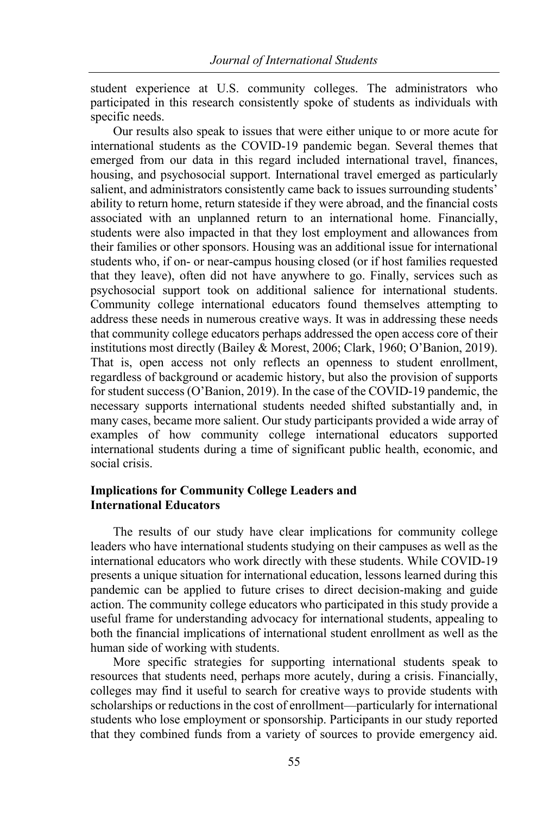student experience at U.S. community colleges. The administrators who participated in this research consistently spoke of students as individuals with specific needs.

Our results also speak to issues that were either unique to or more acute for international students as the COVID-19 pandemic began. Several themes that emerged from our data in this regard included international travel, finances, housing, and psychosocial support. International travel emerged as particularly salient, and administrators consistently came back to issues surrounding students' ability to return home, return stateside if they were abroad, and the financial costs associated with an unplanned return to an international home. Financially, students were also impacted in that they lost employment and allowances from their families or other sponsors. Housing was an additional issue for international students who, if on- or near-campus housing closed (or if host families requested that they leave), often did not have anywhere to go. Finally, services such as psychosocial support took on additional salience for international students. Community college international educators found themselves attempting to address these needs in numerous creative ways. It was in addressing these needs that community college educators perhaps addressed the open access core of their institutions most directly (Bailey & Morest, 2006; Clark, 1960; O'Banion, 2019). That is, open access not only reflects an openness to student enrollment, regardless of background or academic history, but also the provision of supports for student success (O'Banion, 2019). In the case of the COVID-19 pandemic, the necessary supports international students needed shifted substantially and, in many cases, became more salient. Our study participants provided a wide array of examples of how community college international educators supported international students during a time of significant public health, economic, and social crisis.

#### **Implications for Community College Leaders and International Educators**

The results of our study have clear implications for community college leaders who have international students studying on their campuses as well as the international educators who work directly with these students. While COVID-19 presents a unique situation for international education, lessons learned during this pandemic can be applied to future crises to direct decision-making and guide action. The community college educators who participated in this study provide a useful frame for understanding advocacy for international students, appealing to both the financial implications of international student enrollment as well as the human side of working with students.

More specific strategies for supporting international students speak to resources that students need, perhaps more acutely, during a crisis. Financially, colleges may find it useful to search for creative ways to provide students with scholarships or reductions in the cost of enrollment—particularly for international students who lose employment or sponsorship. Participants in our study reported that they combined funds from a variety of sources to provide emergency aid.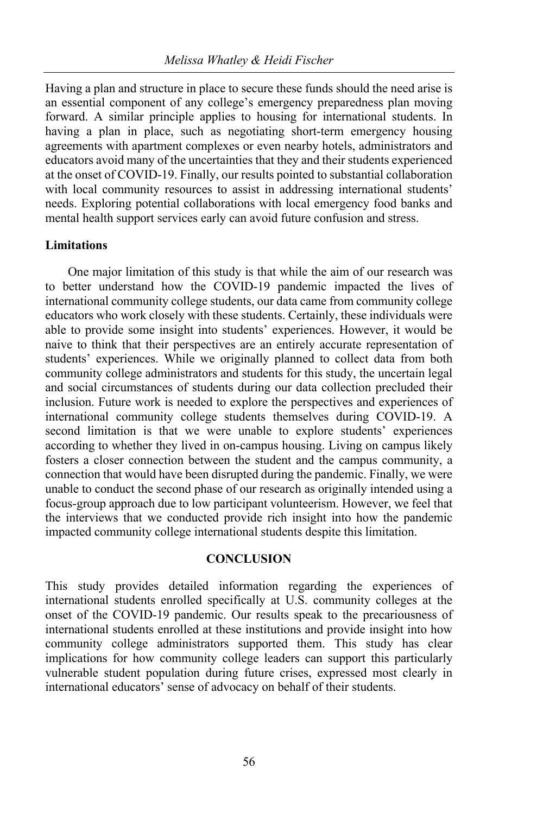Having a plan and structure in place to secure these funds should the need arise is an essential component of any college's emergency preparedness plan moving forward. A similar principle applies to housing for international students. In having a plan in place, such as negotiating short-term emergency housing agreements with apartment complexes or even nearby hotels, administrators and educators avoid many of the uncertainties that they and their students experienced at the onset of COVID-19. Finally, our results pointed to substantial collaboration with local community resources to assist in addressing international students' needs. Exploring potential collaborations with local emergency food banks and mental health support services early can avoid future confusion and stress.

#### **Limitations**

One major limitation of this study is that while the aim of our research was to better understand how the COVID-19 pandemic impacted the lives of international community college students, our data came from community college educators who work closely with these students. Certainly, these individuals were able to provide some insight into students' experiences. However, it would be naive to think that their perspectives are an entirely accurate representation of students' experiences. While we originally planned to collect data from both community college administrators and students for this study, the uncertain legal and social circumstances of students during our data collection precluded their inclusion. Future work is needed to explore the perspectives and experiences of international community college students themselves during COVID-19. A second limitation is that we were unable to explore students' experiences according to whether they lived in on-campus housing. Living on campus likely fosters a closer connection between the student and the campus community, a connection that would have been disrupted during the pandemic. Finally, we were unable to conduct the second phase of our research as originally intended using a focus-group approach due to low participant volunteerism. However, we feel that the interviews that we conducted provide rich insight into how the pandemic impacted community college international students despite this limitation.

#### **CONCLUSION**

This study provides detailed information regarding the experiences of international students enrolled specifically at U.S. community colleges at the onset of the COVID-19 pandemic. Our results speak to the precariousness of international students enrolled at these institutions and provide insight into how community college administrators supported them. This study has clear implications for how community college leaders can support this particularly vulnerable student population during future crises, expressed most clearly in international educators' sense of advocacy on behalf of their students.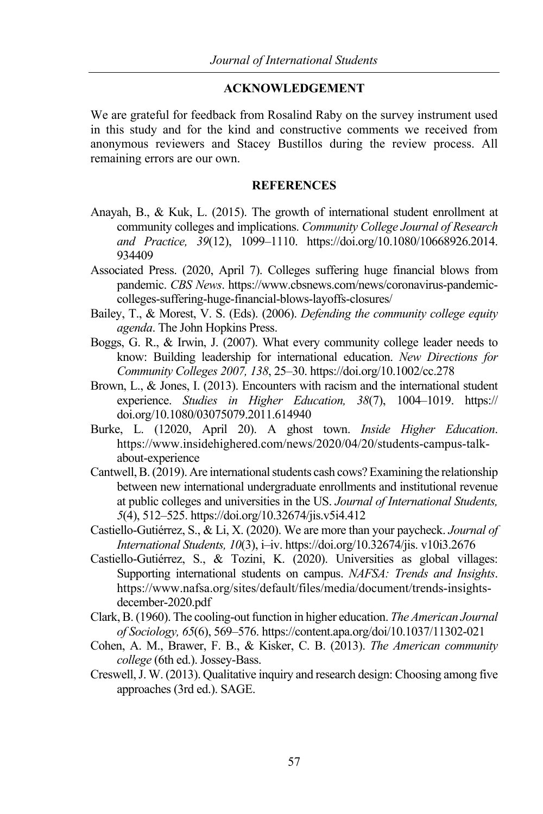#### **ACKNOWLEDGEMENT**

We are grateful for feedback from Rosalind Raby on the survey instrument used in this study and for the kind and constructive comments we received from anonymous reviewers and Stacey Bustillos during the review process. All remaining errors are our own.

#### **REFERENCES**

- Anayah, B., & Kuk, L. (2015). The growth of international student enrollment at community colleges and implications. *Community College Journal of Research and Practice, 39*(12), 1099–1110. https://doi.org/10.1080/10668926.2014. 934409
- Associated Press. (2020, April 7). Colleges suffering huge financial blows from pandemic. *CBS News*. https://www.cbsnews.com/news/coronavirus-pandemiccolleges-suffering-huge-financial-blows-layoffs-closures/
- Bailey, T., & Morest, V. S. (Eds). (2006). *Defending the community college equity agenda*. The John Hopkins Press.
- Boggs, G. R., & Irwin, J. (2007). What every community college leader needs to know: Building leadership for international education. *New Directions for Community Colleges 2007, 138*, 25–30. https://doi.org/10.1002/cc.278
- Brown, L., & Jones, I. (2013). Encounters with racism and the international student experience. *Studies in Higher Education, 38*(7), 1004–1019. https:// doi.org/10.1080/03075079.2011.614940
- Burke, L. (12020, April 20). A ghost town. *Inside Higher Education*. https://www.insidehighered.com/news/2020/04/20/students-campus-talkabout-experience
- Cantwell, B. (2019). Are international students cash cows? Examining the relationship between new international undergraduate enrollments and institutional revenue at public colleges and universities in the US. *Journal of International Students, 5*(4), 512–525. https://doi.org/10.32674/jis.v5i4.412
- Castiello-Gutiérrez, S., & Li, X. (2020). We are more than your paycheck. *Journal of International Students, 10*(3), i–iv. https://doi.org/10.32674/jis. v10i3.2676
- Castiello-Gutiérrez, S., & Tozini, K. (2020). Universities as global villages: Supporting international students on campus. *NAFSA: Trends and Insights*. https://www.nafsa.org/sites/default/files/media/document/trends-insightsdecember-2020.pdf
- Clark, B. (1960). The cooling-out function in higher education. *The American Journal of Sociology, 65*(6), 569–576. https://content.apa.org/doi/10.1037/11302-021
- Cohen, A. M., Brawer, F. B., & Kisker, C. B. (2013). *The American community college* (6th ed.). Jossey-Bass.
- Creswell, J. W. (2013). Qualitative inquiry and research design: Choosing among five approaches (3rd ed.). SAGE.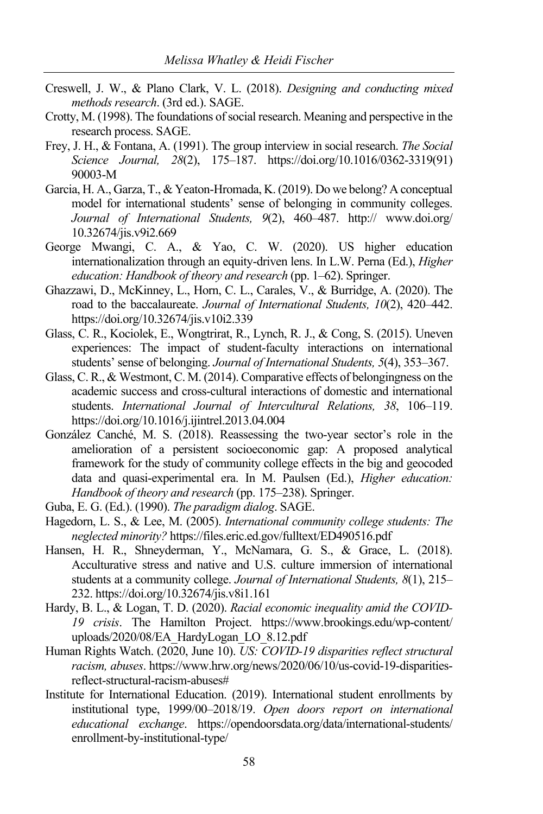- Creswell, J. W., & Plano Clark, V. L. (2018). *Designing and conducting mixed methods research*. (3rd ed.). SAGE.
- Crotty, M. (1998). The foundations of social research. Meaning and perspective in the research process. SAGE.
- Frey, J. H., & Fontana, A. (1991). The group interview in social research. *The Social Science Journal, 28*(2), 175–187. https://doi.org/10.1016/0362-3319(91) 90003-M
- Garcia, H. A., Garza, T., & Yeaton-Hromada, K. (2019). Do we belong? A conceptual model for international students' sense of belonging in community colleges. *Journal of International Students, 9*(2), 460–487. http:// www.doi.org/ 10.32674/jis.v9i2.669
- George Mwangi, C. A., & Yao, C. W. (2020). US higher education internationalization through an equity-driven lens. In L.W. Perna (Ed.), *Higher education: Handbook of theory and research* (pp. 1–62). Springer.
- Ghazzawi, D., McKinney, L., Horn, C. L., Carales, V., & Burridge, A. (2020). The road to the baccalaureate. *Journal of International Students, 10*(2), 420–442. https://doi.org/10.32674/jis.v10i2.339
- Glass, C. R., Kociolek, E., Wongtrirat, R., Lynch, R. J., & Cong, S. (2015). Uneven experiences: The impact of student-faculty interactions on international students' sense of belonging. *Journal of International Students, 5*(4), 353–367.
- Glass, C. R., & Westmont, C. M. (2014). Comparative effects of belongingness on the academic success and cross-cultural interactions of domestic and international students. *International Journal of Intercultural Relations, 38*, 106–119. https://doi.org/10.1016/j.ijintrel.2013.04.004
- González Canché, M. S. (2018). Reassessing the two-year sector's role in the amelioration of a persistent socioeconomic gap: A proposed analytical framework for the study of community college effects in the big and geocoded data and quasi-experimental era. In M. Paulsen (Ed.), *Higher education: Handbook of theory and research* (pp. 175–238). Springer.
- Guba, E. G. (Ed.). (1990). *The paradigm dialog*. SAGE.
- Hagedorn, L. S., & Lee, M. (2005). *International community college students: The neglected minority?* https://files.eric.ed.gov/fulltext/ED490516.pdf
- Hansen, H. R., Shneyderman, Y., McNamara, G. S., & Grace, L. (2018). Acculturative stress and native and U.S. culture immersion of international students at a community college. *Journal of International Students, 8*(1), 215– 232. https://doi.org/10.32674/jis.v8i1.161
- Hardy, B. L., & Logan, T. D. (2020). *Racial economic inequality amid the COVID-19 crisis*. The Hamilton Project. https://www.brookings.edu/wp-content/ uploads/2020/08/EA\_HardyLogan\_LO\_8.12.pdf
- Human Rights Watch. (2020, June 10). *US: COVID-19 disparities reflect structural racism, abuses*. https://www.hrw.org/news/2020/06/10/us-covid-19-disparitiesreflect-structural-racism-abuses#
- Institute for International Education. (2019). International student enrollments by institutional type, 1999/00–2018/19. *Open doors report on international educational exchange*. https://opendoorsdata.org/data/international-students/ enrollment-by-institutional-type/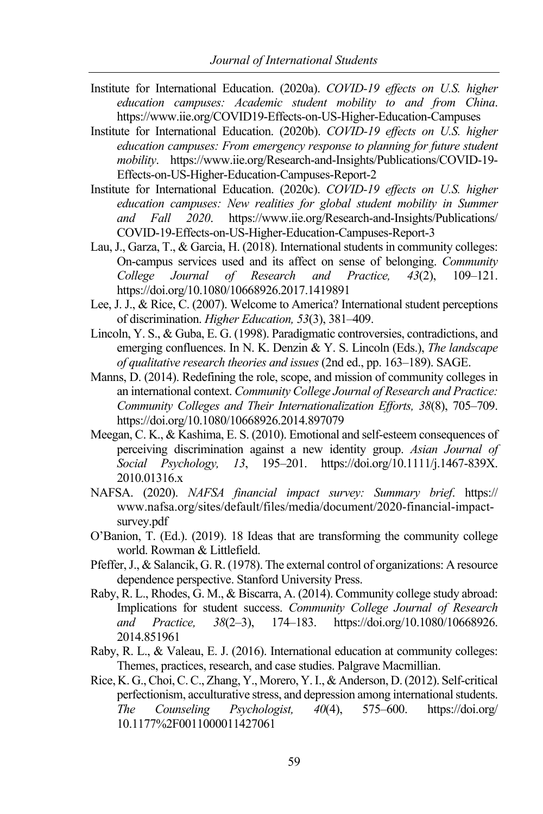- Institute for International Education. (2020a). *COVID-19 effects on U.S. higher education campuses: Academic student mobility to and from China*. https://www.iie.org/COVID19-Effects-on-US-Higher-Education-Campuses
- Institute for International Education. (2020b). *COVID-19 effects on U.S. higher education campuses: From emergency response to planning for future student mobility*. https://www.iie.org/Research-and-Insights/Publications/COVID-19- Effects-on-US-Higher-Education-Campuses-Report-2
- Institute for International Education. (2020c). *COVID-19 effects on U.S. higher education campuses: New realities for global student mobility in Summer and Fall 2020*. https://www.iie.org/Research-and-Insights/Publications/ COVID-19-Effects-on-US-Higher-Education-Campuses-Report-3
- Lau, J., Garza, T., & Garcia, H. (2018). International students in community colleges: On-campus services used and its affect on sense of belonging. *Community College Journal of Research and Practice, 43*(2), 109–121. https://doi.org/10.1080/10668926.2017.1419891
- Lee, J. J., & Rice, C. (2007). Welcome to America? International student perceptions of discrimination. *Higher Education, 53*(3), 381–409.
- Lincoln, Y. S., & Guba, E. G. (1998). Paradigmatic controversies, contradictions, and emerging confluences. In N. K. Denzin & Y. S. Lincoln (Eds.), *The landscape of qualitative research theories and issues* (2nd ed., pp. 163–189). SAGE.
- Manns, D. (2014). Redefining the role, scope, and mission of community colleges in an international context. *Community College Journal of Research and Practice: Community Colleges and Their Internationalization Efforts, 38*(8), 705–709. https://doi.org/10.1080/10668926.2014.897079
- Meegan, C. K., & Kashima, E. S. (2010). Emotional and self-esteem consequences of perceiving discrimination against a new identity group. *Asian Journal of Social Psychology, 13*, 195–201. https://doi.org/10.1111/j.1467-839X. 2010.01316.x
- NAFSA. (2020). *NAFSA financial impact survey: Summary brief*. https:// www.nafsa.org/sites/default/files/media/document/2020-financial-impactsurvey.pdf
- O'Banion, T. (Ed.). (2019). 18 Ideas that are transforming the community college world. Rowman & Littlefield.
- Pfeffer, J., & Salancik, G. R. (1978). The external control of organizations: A resource dependence perspective. Stanford University Press.
- Raby, R. L., Rhodes, G. M., & Biscarra, A. (2014). Community college study abroad: Implications for student success. *Community College Journal of Research and Practice, 38*(2–3), 174–183. https://doi.org/10.1080/10668926. 2014.851961
- Raby, R. L., & Valeau, E. J. (2016). International education at community colleges: Themes, practices, research, and case studies. Palgrave Macmillian.
- Rice, K. G., Choi, C. C., Zhang, Y., Morero, Y. I., & Anderson, D. (2012). Self-critical perfectionism, acculturative stress, and depression among international students. *The Counseling Psychologist, 40*(4), 575–600. https://doi.org/ 10.1177%2F0011000011427061